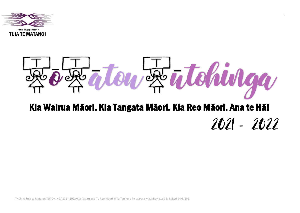

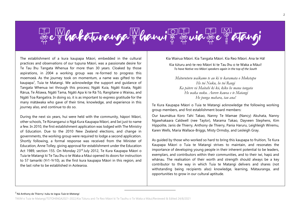

The establishment of a kura kaupapa Māori, embedded in the cultural practices and observations of our tupuna Māori, was a passionate desire for Te Tau Ihu Tangata Whenua for more than 30 years. Cloaked by those aspirations, in 2004 a working group was re-formed to progress this moemoeā. As the journey took on momentum, a name was gifted to the kaupapa<sup>1</sup>, Tuia te Matangi. We acknowledge the support and guidance of Tangata Whenua iwi through this process; Ngāti Kuia, Ngāti Koata, Ngāti Rārua, Te Ātiawa, Ngāti Tama, Ngāti Apa ki te Rā Tō, Rangitane o Wairau, and Ngāti Toa Rangatira. In doing so, it is as important to express gratitude for the many mātāwaka who gave of their time, knowledge, and experience in this journey also, and continue to do so.

During the next six years, hui were held with the community, hāpori Māori, other schools, Te Rūnanganui o Ngā Kura Kaupapa Māori, and Iwi just to name a few. In 2010, the first establishment application was lodged with The Ministry of Education. Due to the 2010 New Zealand elections, and change in governments, the working group were required to lodge a second application. Shortly following, a formal response was received from the Minister of Education, Anne Tolley, giving approval for establishment under the Education Act 1989, section 155. On Monday 23rd July 2012, Te Kura Kaupapa Māori o Tuia te Matangi ki Te Tau Ihu o te Waka a Māui opened its doors for instruction to 57 tamariki (Yr1-Yr10), as the first kura kaupapa Māori in this region, and the last rohe to be established in Aotearoa.

Kia Wairua Māori. Kia Tangata Māori. Kia Reo Māori. Ana te Hā!

Kia tūturu anō te reo Māori ki te Tau Ihu o te Waka a Māui! *To have Native reo Māori speakers again in the top of the South*

*Māturuturu waikamo te au ki te karamata o Moketapu He toi Nuku, he toi Rangi Ka pātere rā Maitahi ki kō, kiko he mana tangata He waka nuku. Aorere kawea e te Matangi He punga mahara, tau ana!*

Te Kura Kaupapa Māori o Tuia te Matangi acknowledge the following working group members, and first establishment board members:

Our kaumātua Koro Tahi Takao, Nanny Te Mamae (Nancy) Akuhata, Nanny Ngawhakaara Caldwell (nee Taylor), Marama Takao, Dayveen Stephens, Kim Hippolite, Janis de Thierry, Anthony de Thierry, Pania Haruru, Leighleigh Wiremu, Karen Wells, Maria Wallace-Briggs, Misty Ormsby, and Lesleigh Gray.

As guided by those who worked so hard to bring this kaupapa to fruition, Te Kura Kaupapa Māori o Tuia te Matangi strives to maintain, and resonates the importance of developing young people in their inherent potential to be leaders, exemplars, and contributors within their communities, and to their iwi, hapū and whānau. The realisation of their worth and strength should always be a key contributor to the way in which Tuia te Matangi delivers and shares (not withstanding being recipients also) knowledge, learning, Mātauranga, and opportunities to grow in our cultural aptitude.

 $\mathfrak{D}$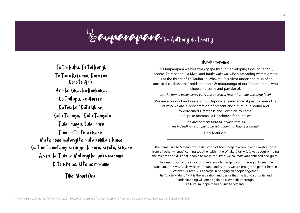### Re Cup Cup Cup Cup Cup Na Anthony de Thierry

Te tai Nuku, Te tai Rangi, Te Tai o Koro nui, Koro roa Koro te Ariki Ano ko Kiwa, ko Raukawa, Ko Taitapu, ko Aorere Ka tau ko 'Katu Waka, 'Katu Taonga, 'Katu Tangata Tuia i runga, tuia i raro Tuia i roto, tuia i waho Ma te hone matangi te mata kohika e kawe Kia tuia te matangi ki runga, ki raro, ki roto, ki waho Ae ra, ko Tuia te Matangi hei puke marama Ki te wheiao, ki te ao marama

Tihei Mauri Ora!

### (Whakamarama)

This tauparapara weaves whakapapa through enveloping tides of Taitapu, Aorere, Te Moananui ā Kiwa, and Raukawakawa, who's cascading waters gather us at the throat of Te Tauihu, in Whakatū. It's silent undertone talks of an ancestral calabash that holds the tools & mātauranga of our tūpuna, for all who choose, to come and partake of.

*Let the humid ocean spray carry the ancestral face – 'tis mine ancestral face!*

We are a product and vessel of our tūpuna, a resurgence of past to remind us of who we are, a proclamation of present and future, our bound and foreordained Greatness and Fortitude to come, '...hei puke mārama', a Lighthouse for all to see!

> *The breeze rocks forth to intwine with all Yes indeed! An example to be set, again, 'tis Tuia te Matangi'*

> > Tihei Mauriora!

The name Tuia te Matangi was a depiction of both tangata whenua and rāwaho (those from all other whenua) coming together within the Whakatū takiwā. It was about bringing the talents and skills of all people to make this 'kete' we call Whakatū enriched and great!

The description of the ocean is in reference to Tangaroa and through His seas: Te Moananui-ā-Kiwa, Raukawakawa, Taitapu and Aorere, we are brought to gather here in Whakatū. Great is His charge in bringing all people together. 'tis Tuia te Matangi' – it is the aspiration and desire that the taonga of unity and understanding will once again be exemplified through Te Kura Kaupapa Māori o Tuia te Matangi.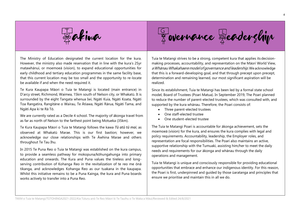

 $E$ akiwa Governance Seadership Tuia te Matangi strives to be a strong, competent kura that applies its decision-

The Ministry of Education designated the current location for the kura. However, the ministry also made reservation that in line with the kura's 25yr matawhānui, or moemoeā (vision), to expand educational opportunities for early childhood and tertiary education programmes in the same facility base, that this current location may be too small and the opportunity to re-locate be available if and when the need required it.

Te Kura Kaupapa Māori o Tuia te Matangi is located (main entrance) in D'arcy street, Richmond, Waimea, 15km south of Nelson city, or Whakatū. It is surrounded by the eight Tangata whenua Iwi, Ngāti Kuia, Ngāti Koata, Ngāti Toa Rangatira, Rangitāne o Wairau, Te Ātiawa, Ngāti Rārua, Ngāti Tama, and Ngāti Apa ki te Rā Tō.

We are currently rated as a Decile 4 school. The majority of ākonga travel from as far as north of Nelson to the farthest point being Motueka (35km).

Te Kura Kaupapa Māori o Tuia te Matangi follows the kawa *Tū atū tū mai*, as observed at Whakatū Marae. This is our first bastion; however, we acknowledge our close relationships with Te Āwhina Marae and others throughout Te Tau Ihu.

In 2015 Te Puna Reo o Tuia te Matangi was established on the kura campus, to provide a seamless pathway for mokopuna/kōhungahunga into primary education and onwards. The Kura and Puna values the tireless and longserving contribution of Kohanga Reo in the revitalization of te reo me ōnā tikanga, and acknowledges Kohanga Reo as our tuakana in the kaupapa. Whilst this initiative remains to be a Puna Kainga, the kura and Puna boards works actively to transfer into a Puna Reo.

making processes, accountability, and representation on the Māori World View, a Whānau Whakahaere model of governance and leadership. We acknowledge that this is a forward-developing goal, and that through precept upon precept, determination and remaining learned, our most significant aspiration will be realized.

Since its establishment, Tuia te Matangi has been led by a formal state school model, Board of Trustees (Poari Matua). In September 2019, The Poari planned to reduce the number of parent-elected trustees, which was consulted with, and supported by the kura whānau. Therefore, the Poari consists of:

- Three parent-elected trustees
- One staff-elected trustee
- One student-elected trustee

The Tuia te Matangi Poari is accountable for ākonga achievement, sets the moemoeā (vision) for the kura, and ensures the kura complies with legal and policy requirements. Accountability, leadership, the Employer roles, and representation are focal responsibilities. The Poari also maintains an active, supportive relationship with the Tumuaki, assisting him/her to meet the daily needs and requirements for our ākonga and whānau through the daily operations and management.

Tuia te Matangi is unique and consciously responsible for providing educational opportunities that embrace and enhance our indigenous identity. For this reason, the Poari is first, underpinned and guided by those ūaratanga and principles that ensure we prioritise and maintain this in all we do.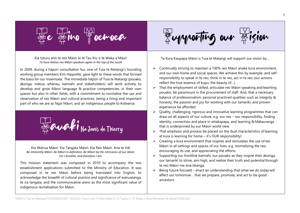

Kia tūturu anō te reo Māori ki te Tau Ihu o te Waka a Māui! *To have Native reo Māori speakers again in the top of the South*

In 2009, during a hāpori consultation hui, one of Tuia te Matangi's founding working group members Kim Hippolite, gave light to these words that formed the basis for our moemoeā. The immediate hāpori of Tuia te Matangi (pouako, ākonga, mātua, whānau, kaimahi and stakeholders) will work actively to develop and grow Māori language & practice competencies, in their own spaces but also in other fields, with a commitment to normalize the use and observation of reo Māori and cultural practices, being a living and important part of who we are as Ngai Māori, and an indigenous people to Aotearoa.



Kia Wairua Māori. Kia Tangata Māori. Kia Reo Māori. Ana te Hā! *Be inherently Māori. Be Māori in definition. Be Māori by the intricacies of our idiom. For I breathe, and therefore I am.*

This mission statement was composed in 2010 to accompany the two establishment applications submitted to the Ministry of Education. It was composed in te reo Māori before being translated into English, to acknowledge the breadth of cultural practice and significance of wairuatanga, te ira tangata, and the communicative arero as the most significant value of indigenous revitalisation for Māori.



Te Kura Kaupapa Māori o Tuia te Matangi will support our vision by…

- ➢ Continually striving to maintain a 100% reo Māori anake kura environment, and our own home and social spaces. We achieve this by example, and selfresponsibility to speak in te reo, think in te reo, act in te reo (our actions reflect the true essence of kupu; the beauty of…).
- ➢ That the employment of skilled, articulate reo Māori speaking and teaching pouako, be paramount in the procurement of staff. And, that a necessary balance of professionalism, personal practiced qualities such as integrity & honesty, the passion and joy for working with our tamariki, and proven experience be afforded.
- $\triangleright$  Quality, challenging, rigorous and innovative learning programmes that can draw on all aspects of our culture, e.g. our reo – our responsibility, finding identity, connection and place in whakapapa, and learning & Mātauranga that is underpinned by our Māori world view.
- $\triangleright$  That emphasis and process be placed on the dual characteristics of learning at kura is learning for home – it's OUR responsibility!
- $\triangleright$  Creating a kura environment that inspires and stimulates the use of reo Māori in all settings and spaces of our lives, e.g. normalizing the reo, encouraging its use, and appreciating the efforts.
- $\triangleright$  Supporting our frontline kaimahi, our pouako as they inspire their ākonga, our tamariki to strive, aim high, and realise their truth and potential through te reo Māori me ōnā tikanga.
- $\triangleright$  Being future focused enact an understanding that what we do today will affect our tomorrow… that we prepare, promote, and act to be good ancestors.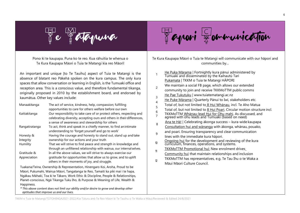

## atapuna Hapori Dommunication

Pono ki te kaupapa. Puna ko te reo. Kua rāhuitia te whenua o Te Kura Kaupapa Māori o Tuia te Matangi kia reo Māori!

An important and unique [to Te Tauihu] aspect of Tuia te Matangi is the absence of blatant reo Pākehā spoken on the kura campus. The only kura spaces that allow conversation or learning in English, is the Tumuaki office and reception area. This is a conscious value, and therefore fundamental tikanga, originally proposed in 2010 by the establishment board, and endorsed by kaumātua. Other key values include:

| The act of service, kindness, help, compassion; fulfilling<br>Manaakitanga |                                                                        |  |  |
|----------------------------------------------------------------------------|------------------------------------------------------------------------|--|--|
|                                                                            | opportunities to care for others welfare before our own                |  |  |
| Kaitiakitanga                                                              | Our responsibility to take care of or protect others, respecting and   |  |  |
|                                                                            | celebrating diversity, accepting ours and others in their differences, |  |  |
|                                                                            | a sense of awareness and stewardship for others                        |  |  |
| Rangatiratanga                                                             | To act, think and speak in a chiefly manner, to find an intimate       |  |  |
|                                                                            | understanding to 'forget yourself and go to work'                      |  |  |
| Honesty &                                                                  | Having the courage and honesty to stand out, stand up and take         |  |  |
| Integrity                                                                  | ownership for our actions and your truth                               |  |  |
| Humility                                                                   | That we will strive to find peace and strength in knowledge and        |  |  |
|                                                                            | through an unfiltered relationship with wairua, our internal selves.   |  |  |
| Gratitude &                                                                | In all the above values, we will strive to always exercise our         |  |  |
| Appreciation                                                               | gratitude for opportunities that allow us to grow, and to uplift       |  |  |
|                                                                            | others in their moments of joy, and struggle.                          |  |  |

Tuakana/Teina, Ownership & Representation, Hinengaro Koi, Aroha, Proud to be Māori, Pukumahi, Wairua Māori, Tangatanga te Reo, Tamaiti ka piki mai i te hapa, Ngākau Māhaki, Toa ki te Tākaro, Work Ethic & Discipline, People & Relationships, Planet-conscious, Ngā Tikanga Tuku Iho, & Purpose & Meaning of Life, Wealth & Happiness.

*\* This above content does not limit our ability and/or desire to grow and develop other aptitudes that improve us and our lives.*

Te Kura Kaupapa Māori o Tuia te Matangi will communicate with our hāpori and communities by…

- 1 He Puka Mārama | Fortnightly kura pānui administered by Tumuaki and disseminated by the Kaihautū Tari Pukamata | TKKM o Tuia te Matangi HĀPORI
- $\mathfrak{p}$ We maintain a social FB page, which allows our extended community to join and receive TKKMoTTM public comms
- 3 He Pae Tukutuku | [www.tuiatematangi.ac.nz](http://www.tuiatematangi.ac.nz/)
- 4 He Puke Mārama | Quarterly Pānui to Iwi, stakeholders etc.
- 5 Total of, but not limited to 8 Hui Whānau, incl. Te Aho Matua
- 6 Total of, but not limited to 8 Hui Poari. Circular motion structure incl.
- 7 TKKMoTTM Whānau-lead Hui for Ohu mahi. As discussed, and agreed with ohu leads and Tumuaki (based on need)
- Ana te Hā! | Celebrating ākonga success kura-wide kaupapa
- 8 Consultation hui and wānanga with ākonga, whānau, pouako,
- $\mathsf{q}$ and poari. Ensuring transparency and clear communication lines with the immediate kura hāpori.
- $10$  Ongoing hui for the development and reviewing of the kura
- curriculum, finances, operations, and systems.
- 11 TKKMoTTM Promotional hui: New enrolment drives
- Community hui that maintain relationships and inclusion
- **12** TKKMoTTM has representatives, e.g. Te Tau Ihu o te Waka a Māui Māori Culture Council.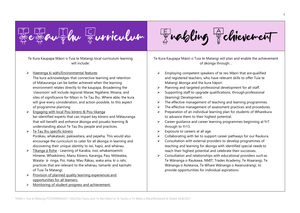



Te Kura Kaupapa Māori o Tuia te Matangi local curriculum learning will include:

### ➢ Haerenga ki wāhi/Environmental features

The kura acknowledges that connective learning and retention of Mātauranga can be better achieved when the learning environment relates directly to the kaupapa. Broadening the 'classroom' will include regional Marae, Ngāhere, Moana, and sites of significance for Māori in Te Tau Ihu. Where able, the kura will give every consideration, and action possible, to this aspect of programme planning

- ➢ Engaging with local Pou kōrero & Pou tikanga Iwi-identified experts that can impart key kōrero and Mātauranga that will benefit and enhance ākonga and pouako learning & understanding about Te Tau Ihu people and practices.
- ➢ Te Tau Ihu specific kōrero Pūrākau, whakatauki, pakiwaitara, and pepeha. This would also encourage the curriculum to cater for all ākonga in learning and discovering their unique identity to iwi, hapū, and whānau.
- ➢ Tikanga ā Rohe Learning of Karakia, inoi, whakamoemiti Hīmene, Whaikōrero, Manu Kōrero, Karanga, Pao, Mōteatea, Waiata- ā- ringa, Poi, Haka, Mau Rākau, waka ama, ki o rahi, practices that are relevant to the whānau, tamariki and kaimahi of Tuia Te Matangi.
- ➢ Provision of planned quality learning experiences and opportunities for all learners.
- ➢ Monitoring of student progress and achievement.

Te Kura Kaupapa Māori o Tuia te Matangi will plan and enable the achievement of ākonga through…

- $\triangleright$  Employing competent speakers of te reo Māori that are qualified and registered teachers, who have relevant skills to offer Tuia te Matangi ākonga and the kura hāpori
- ➢ Planning and targeted professional development for all staff.
- $\triangleright$  Supporting staff to upgrade qualifications, through professional [learning] Development.
- ➢ The effective management of teaching and learning programmes.
- ➢ The effective management of assessment practices and procedures.
- ➢ Preparation of an individual learning plan for students of Wharekura to advance them to their highest potential.
- ➢ Career guidance and career learning programmes beginning at Yr7 through to Yr13.
- $\triangleright$  Exposure to careers at all age
- $\triangleright$  Collaborating with Iwi to support career pathways for our Raukura.
- ➢ Consultation with external providers to develop programmes of teaching and learning for ākonga with identified special needs to reach their highest potential and celebrate their successes.
- ➢ Consultation and relationships with educational providers such as Te Wānanga o Raukawa, NMIT, Trades Academy, Te Ataarangi, Te Wānanga o Aotearoa, Te Whare Wānanga o Awanuiārangi, to provide opportunities for individual aspirations.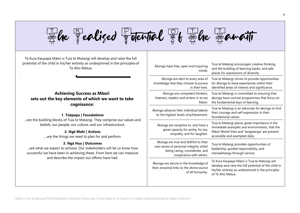

Rhe Pealized Potential 86 Rhe Ramaiti

**Achieving Success as Māori sets out the key elements of which we want to take cognisance:**

.

### **1. Tūāpapa | Foundations**

...are the building blocks of Tuia te Matangi. They comprise our values and beliefs, our people, our culture, and our infrastructure.

### **2. Ngā Mahi | Actions**

…are the things we need to plan for and perform

### **3. Ngā Hua | Outcomes**

…are what we expect to achieve. Our stakeholders will let us know how successful we have been in achieving these. From here we can measur and describe the impact our efforts have had.

| of     | Akonga have free, open and inquiring<br>minds.                                                                                                | Tuia te Matangi encourages creative thinking,<br>and the building of learning banks, and safe<br>places for expressions of diversity.                                               |  |
|--------|-----------------------------------------------------------------------------------------------------------------------------------------------|-------------------------------------------------------------------------------------------------------------------------------------------------------------------------------------|--|
|        | Ākonga are alert to every area of<br>knowledge that they choose to pursue<br>in their lives.                                                  | Tuia te Matangi strives to provide opportunities<br>for ākonga to have experiences within their<br>identified areas of interest and significance.                                   |  |
| ınd    | Ākonga are competent thinkers,<br>listeners, readers and writers in te reo<br>Māori.                                                          | Tuia te Matangi is committed to ensuring that<br>ākonga have concise programmes that focus on<br>the fundamental keys of learning.                                                  |  |
|        | Ākonga advance their individual talents<br>to the highest levels of achievement.                                                              | Tuia te Matangi is an advocate for ākonga to find<br>their courage and self-expression in their<br>foundational values.                                                             |  |
|        | Akonga are receptive to, and have a<br>great capacity for aroha, for joy,<br>empathy, and for laughter.                                       | Tuia te Matangi places great importance in the<br>immediate examples and environments, that the<br>Māori World View and 'tangatanga' are present,<br>accessible and exampled daily. |  |
| Ν<br>e | Akonga are true and faithful to their<br>own sense of personal integrity whilst<br>being caring, considerate, and<br>cooperative with others. | Tuia te Matangi provides opportunities of<br>leadership, guided responsibility, and<br>manaakitanga through service.                                                                |  |
|        | Akonga are secure in the knowledge of<br>their ancestral links to the divine source<br>of all humanity.                                       | Te Kura Kaupapa Māori o Tuia te Matangi will<br>develop and raise the full potential of the child in<br>his/her entirety as underpinned in the principles<br>of Te Aho Matua.       |  |
|        |                                                                                                                                               |                                                                                                                                                                                     |  |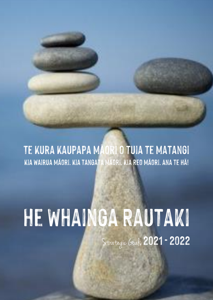

# He Whainga Rautaki Strategic Goals 2021 - 2022

TKKM o Tuia te Matangia te Matangia Tuia te Matangia te Tauihu o Te Tauihu o Te Matangia te Matangia te Tauihu